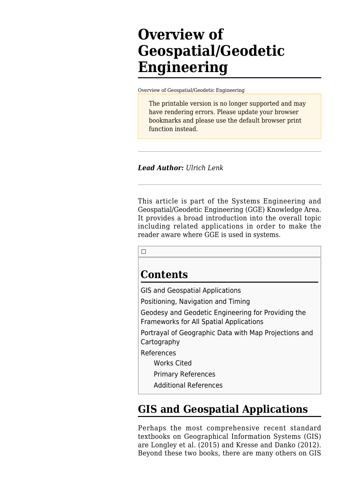# **Overview of Geospatial/Geodetic Engineering**

[Overview of Geospatial/Geodetic Engineering](http://sandbox.sebokwiki.org/Overview_of_Geospatial/Geodetic_Engineering)

The printable version is no longer supported and may have rendering errors. Please update your browser bookmarks and please use the default browser print function instead.

*Lead Author: Ulrich Lenk*

This article is part of the Systems Engineering and Geospatial/Geodetic Engineering (GGE) Knowledge Area. It provides a broad introduction into the overall topic including related applications in order to make the reader aware where GGE is used in systems.

 $\Box$ 

### **Contents**

[GIS and Geospatial Applications](#page--1-0) [Positioning, Navigation and Timing](#Positioning.2C_Navigation_and_Timing) [Geodesy and Geodetic Engineering for Providing the](#page--1-0) [Frameworks for All Spatial Applications](#page--1-0) [Portrayal of Geographic Data with Map Projections and](#page--1-0) **[Cartography](#page--1-0)** [References](#page--1-0) [Works Cited](#page--1-0) [Primary References](#page--1-0) [Additional References](#page--1-0)

## **GIS and Geospatial Applications**

Perhaps the most comprehensive recent standard textbooks on Geographical Information Systems (GIS) are Longley et al. (2015) and Kresse and Danko (2012). Beyond these two books, there are many others on GIS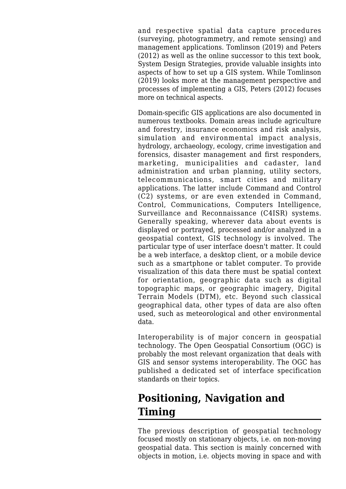and respective spatial data capture procedures (surveying, photogrammetry, and remote sensing) and management applications. Tomlinson (2019) and Peters (2012) as well as the online successor to this text book, [System Design Strategies,](http://www.wiki.gis.com/wiki/index.php/System_Design_Strategies) provide valuable insights into aspects of how to set up a GIS system. While Tomlinson (2019) looks more at the management perspective and processes of implementing a GIS, Peters (2012) focuses more on technical aspects.

Domain-specific GIS applications are also documented in numerous textbooks. Domain areas include agriculture and forestry, insurance economics and risk analysis, simulation and environmental impact analysis, hydrology, archaeology, ecology, crime investigation and forensics, disaster management and first responders, marketing, municipalities and cadaster, land administration and urban planning, utility sectors, telecommunications, smart cities and military applications. The latter include Command and Control (C2) systems, or are even extended in Command, Control, Communications, Computers Intelligence, Surveillance and Reconnaissance (C4ISR) systems. Generally speaking, wherever data about events is displayed or portrayed, processed and/or analyzed in a geospatial context, GIS technology is involved. The particular type of user interface doesn't matter. It could be a web interface, a desktop client, or a mobile device such as a smartphone or tablet computer. To provide visualization of this data there must be spatial context for orientation, geographic data such as digital topographic maps, or geographic imagery, Digital Terrain Models (DTM), etc. Beyond such classical geographical data, other types of data are also often used, such as meteorological and other environmental data.

Interoperability is of major concern in geospatial technology. The [Open Geospatial Consortium](http://www.opengeospatial.org) (OGC) is probably the most relevant organization that deals with GIS and sensor systems interoperability. The OGC has published a dedicated set of interface [specification](http://www.opengeospatial.org/standards) [standards](http://www.opengeospatial.org/standards) on their topics.

## **Positioning, Navigation and Timing**

The previous description of geospatial technology focused mostly on stationary objects, i.e. on non-moving geospatial data. This section is mainly concerned with objects in motion, i.e. objects moving in space and with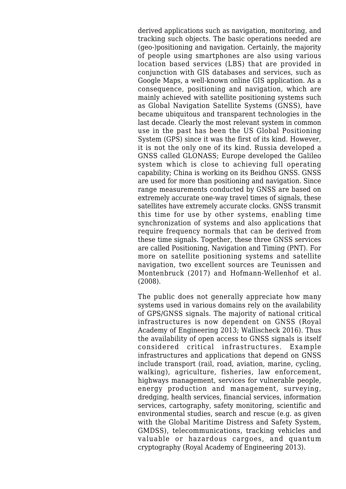derived applications such as navigation, monitoring, and tracking such objects. The basic operations needed are (geo-)positioning and navigation. Certainly, the majority of people using smartphones are also using various location based services (LBS) that are provided in conjunction with GIS databases and services, such as Google Maps, a well-known online GIS application. As a consequence, positioning and navigation, which are mainly achieved with satellite positioning systems such as Global Navigation Satellite Systems (GNSS), have became ubiquitous and transparent technologies in the last decade. Clearly the most relevant system in common use in the past has been the US Global Positioning System (GPS) since it was the first of its kind. However, it is not the only one of its kind. Russia developed a GNSS called GLONASS; Europe developed the Galileo system which is close to achieving full operating capability; China is working on its Beidhou GNSS. GNSS are used for more than positioning and navigation. Since range measurements conducted by GNSS are based on extremely accurate one-way travel times of signals, these satellites have extremely accurate clocks. GNSS transmit this time for use by other systems, enabling time synchronization of systems and also applications that require frequency normals that can be derived from these time signals. Together, these three GNSS services are called Positioning, Navigation and Timing (PNT). For more on satellite positioning systems and satellite navigation, two excellent sources are Teunissen and Montenbruck (2017) and Hofmann-Wellenhof et al. (2008).

The public does not generally appreciate how many systems used in various domains rely on the availability of GPS/GNSS signals. The majority of national critical infrastructures is now dependent on GNSS (Royal Academy of Engineering 2013; Wallischeck 2016). Thus the availability of open access to GNSS signals is itself considered critical infrastructures. Example infrastructures and applications that depend on GNSS include transport (rail, road, aviation, marine, cycling, walking), agriculture, fisheries, law enforcement, highways management, services for vulnerable people, energy production and management, surveying, dredging, health services, financial services, information services, cartography, safety monitoring, scientific and environmental studies, search and rescue (e.g. as given with the Global Maritime Distress and Safety System, GMDSS), telecommunications, tracking vehicles and valuable or hazardous cargoes, and quantum cryptography (Royal Academy of Engineering 2013).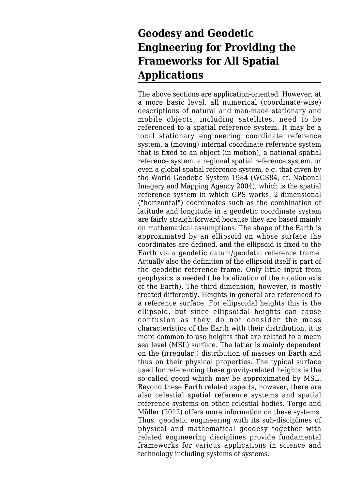## **Geodesy and Geodetic Engineering for Providing the Frameworks for All Spatial Applications**

The above sections are application-oriented. However, at a more basic level, all numerical (coordinate-wise) descriptions of natural and man-made stationary and mobile objects, including satellites, need to be referenced to a spatial reference system. It may be a local stationary engineering coordinate reference system, a (moving) internal coordinate reference system that is fixed to an object (in motion), a national spatial reference system, a regional spatial reference system, or even a global spatial reference system, e.g. that given by the World Geodetic System 1984 (WGS84, cf. National Imagery and Mapping Agency 2004), which is the spatial reference system in which GPS works. 2-dimensional ("horizontal") coordinates such as the combination of latitude and longitude in a geodetic coordinate system are fairly straightforward because they are based mainly on mathematical assumptions. The shape of the Earth is approximated by an ellipsoid on whose surface the coordinates are defined, and the ellipsoid is fixed to the Earth via a geodetic datum/geodetic reference frame. Actually also the definition of the ellipsoid itself is part of the geodetic reference frame. Only little input from geophysics is needed (the localization of the rotation axis of the Earth). The third dimension, however, is mostly treated differently. Heights in general are referenced to a reference surface. For ellipsoidal heights this is the ellipsoid, but since ellipsoidal heights can cause confusion as they do not consider the mass characteristics of the Earth with their distribution, it is more common to use heights that are related to a mean sea level (MSL) surface. The latter is mainly dependent on the (irregular!) distribution of masses on Earth and thus on their physical properties. The typical surface used for referencing these gravity-related heights is the so-called geoid which may be approximated by MSL. Beyond these Earth related aspects, however, there are also celestial spatial reference systems and spatial reference systems on other celestial bodies. Torge and Müller (2012) offers more information on these systems. Thus, geodetic engineering with its sub-disciplines of physical and mathematical geodesy together with related engineering disciplines provide fundamental frameworks for various applications in science and technology including systems of systems.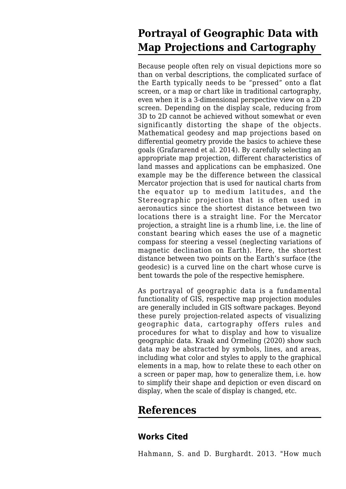## **Portrayal of Geographic Data with Map Projections and Cartography**

Because people often rely on visual depictions more so than on verbal descriptions, the complicated surface of the Earth typically needs to be "pressed" onto a flat screen, or a map or chart like in traditional cartography, even when it is a 3-dimensional perspective view on a 2D screen. Depending on the display scale, reducing from 3D to 2D cannot be achieved without somewhat or even significantly distorting the shape of the objects. Mathematical geodesy and map projections based on differential geometry provide the basics to achieve these goals (Grafararend et al. 2014). By carefully selecting an appropriate map projection, different characteristics of land masses and applications can be emphasized. One example may be the difference between the classical Mercator projection that is used for nautical charts from the equator up to medium latitudes, and the Stereographic projection that is often used in aeronautics since the shortest distance between two locations there is a straight line. For the Mercator projection, a straight line is a rhumb line, i.e. the line of constant bearing which eases the use of a magnetic compass for steering a vessel (neglecting variations of magnetic declination on Earth). Here, the shortest distance between two points on the Earth's surface (the geodesic) is a curved line on the chart whose curve is bent towards the pole of the respective hemisphere.

As portrayal of geographic data is a fundamental functionality of GIS, respective map projection modules are generally included in GIS software packages. Beyond these purely projection-related aspects of visualizing geographic data, cartography offers rules and procedures for what to display and how to visualize geographic data. Kraak and Ormeling (2020) show such data may be abstracted by symbols, lines, and areas, including what color and styles to apply to the graphical elements in a map, how to relate these to each other on a screen or paper map, how to generalize them, i.e. how to simplify their shape and depiction or even discard on display, when the scale of display is changed, etc.

### **References**

### **Works Cited**

Hahmann, S. and D. Burghardt. 2013. "How much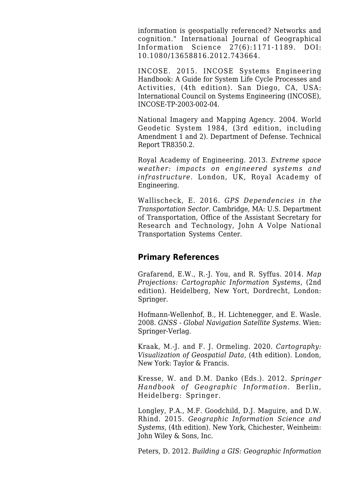information is geospatially referenced? Networks and cognition." International Journal of Geographical Information Science 27(6):1171-1189. DOI: 10.1080/13658816.2012.743664.

INCOSE. 2015. INCOSE Systems Engineering Handbook: A Guide for System Life Cycle Processes and Activities, (4th edition). San Diego, CA, USA: International Council on Systems Engineering (INCOSE), INCOSE-TP-2003-002-04.

National Imagery and Mapping Agency. 2004. World Geodetic System 1984, (3rd edition, including Amendment 1 and 2). Department of Defense. Technical Report TR8350.2.

Royal Academy of Engineering. 2013. *Extreme space weather: impacts on engineered systems and infrastructure.* London, UK, Royal Academy of Engineering.

Wallischeck, E. 2016. *GPS Dependencies in the Transportation Sector.* Cambridge, MA: U.S. Department of Transportation, Office of the Assistant Secretary for Research and Technology, John A Volpe National Transportation Systems Center.

#### **Primary References**

Grafarend, E.W., R.-J. You, and R. Syffus. 2014. *[Map](http://sandbox.sebokwiki.org/Map_Projections:_Cartographic_Information_Systems) [Projections: Cartographic Information Systems](http://sandbox.sebokwiki.org/Map_Projections:_Cartographic_Information_Systems)*, (2nd edition). Heidelberg, New Yort, Dordrecht, London: Springer.

Hofmann-Wellenhof, B., H. Lichtenegger, and E. Wasle. 2008. *[GNSS - Global Navigation Satellite Systems.](http://sandbox.sebokwiki.org/GNSS_-_Global_Navigation_Satellite_Systems.)* Wien: Springer-Verlag.

Kraak, M.-J. and F. J. Ormeling. 2020. *[Cartography:](http://sandbox.sebokwiki.org/Cartography:_Visualization_of_Geospatial_Data) [Visualization of Geospatial Data](http://sandbox.sebokwiki.org/Cartography:_Visualization_of_Geospatial_Data)*, (4th edition). London, New York: Taylor & Francis.

Kresse, W. and D.M. Danko (Eds.). 2012. *[Springer](http://sandbox.sebokwiki.org/Springer_Handbook_of_Geographic_Information.) [Handbook of Geographic Information.](http://sandbox.sebokwiki.org/Springer_Handbook_of_Geographic_Information.)* Berlin, Heidelberg: Springer.

Longley, P.A., M.F. Goodchild, D.J. Maguire, and D.W. Rhind. 2015. *[Geographic Information Science and](http://sandbox.sebokwiki.org/Geographic_Information_Science_and_Systems) [Systems](http://sandbox.sebokwiki.org/Geographic_Information_Science_and_Systems)*, (4th edition). New York, Chichester, Weinheim: John Wiley & Sons, Inc.

Peters, D. 2012. *[Building a GIS: Geographic Information](http://sandbox.sebokwiki.org/Building_a_GIS:_Geographic_Information_System_Planning_for_Managers)*